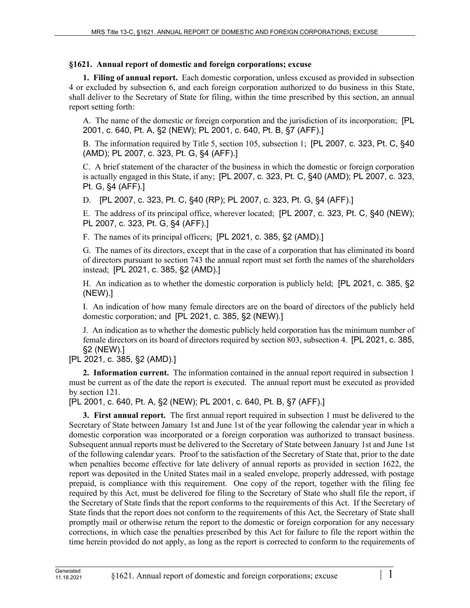## **§1621. Annual report of domestic and foreign corporations; excuse**

**1. Filing of annual report.** Each domestic corporation, unless excused as provided in subsection 4 or excluded by subsection 6, and each foreign corporation authorized to do business in this State, shall deliver to the Secretary of State for filing, within the time prescribed by this section, an annual report setting forth:

A. The name of the domestic or foreign corporation and the jurisdiction of its incorporation; [PL 2001, c. 640, Pt. A, §2 (NEW); PL 2001, c. 640, Pt. B, §7 (AFF).]

B. The information required by Title 5, section 105, subsection 1; [PL 2007, c. 323, Pt. C, §40 (AMD); PL 2007, c. 323, Pt. G, §4 (AFF).]

C. A brief statement of the character of the business in which the domestic or foreign corporation is actually engaged in this State, if any; [PL 2007, c. 323, Pt. C, §40 (AMD); PL 2007, c. 323, Pt. G, §4 (AFF).]

D. [PL 2007, c. 323, Pt. C, §40 (RP); PL 2007, c. 323, Pt. G, §4 (AFF).]

E. The address of its principal office, wherever located; [PL 2007, c. 323, Pt. C, §40 (NEW); PL 2007, c. 323, Pt. G, §4 (AFF).]

F. The names of its principal officers; [PL 2021, c. 385, §2 (AMD).]

G. The names of its directors, except that in the case of a corporation that has eliminated its board of directors pursuant to section 743 the annual report must set forth the names of the shareholders instead; [PL 2021, c. 385, §2 (AMD).]

H. An indication as to whether the domestic corporation is publicly held; [PL 2021, c. 385, §2 (NEW).]

I. An indication of how many female directors are on the board of directors of the publicly held domestic corporation; and [PL 2021, c. 385, §2 (NEW).]

J. An indication as to whether the domestic publicly held corporation has the minimum number of female directors on its board of directors required by section 803, subsection 4. [PL 2021, c. 385, §2 (NEW).]

[PL 2021, c. 385, §2 (AMD).]

**2. Information current.** The information contained in the annual report required in subsection 1 must be current as of the date the report is executed. The annual report must be executed as provided by section 121.

[PL 2001, c. 640, Pt. A, §2 (NEW); PL 2001, c. 640, Pt. B, §7 (AFF).]

**3. First annual report.** The first annual report required in subsection 1 must be delivered to the Secretary of State between January 1st and June 1st of the year following the calendar year in which a domestic corporation was incorporated or a foreign corporation was authorized to transact business. Subsequent annual reports must be delivered to the Secretary of State between January 1st and June 1st of the following calendar years. Proof to the satisfaction of the Secretary of State that, prior to the date when penalties become effective for late delivery of annual reports as provided in section 1622, the report was deposited in the United States mail in a sealed envelope, properly addressed, with postage prepaid, is compliance with this requirement. One copy of the report, together with the filing fee required by this Act, must be delivered for filing to the Secretary of State who shall file the report, if the Secretary of State finds that the report conforms to the requirements of this Act. If the Secretary of State finds that the report does not conform to the requirements of this Act, the Secretary of State shall promptly mail or otherwise return the report to the domestic or foreign corporation for any necessary corrections, in which case the penalties prescribed by this Act for failure to file the report within the time herein provided do not apply, as long as the report is corrected to conform to the requirements of